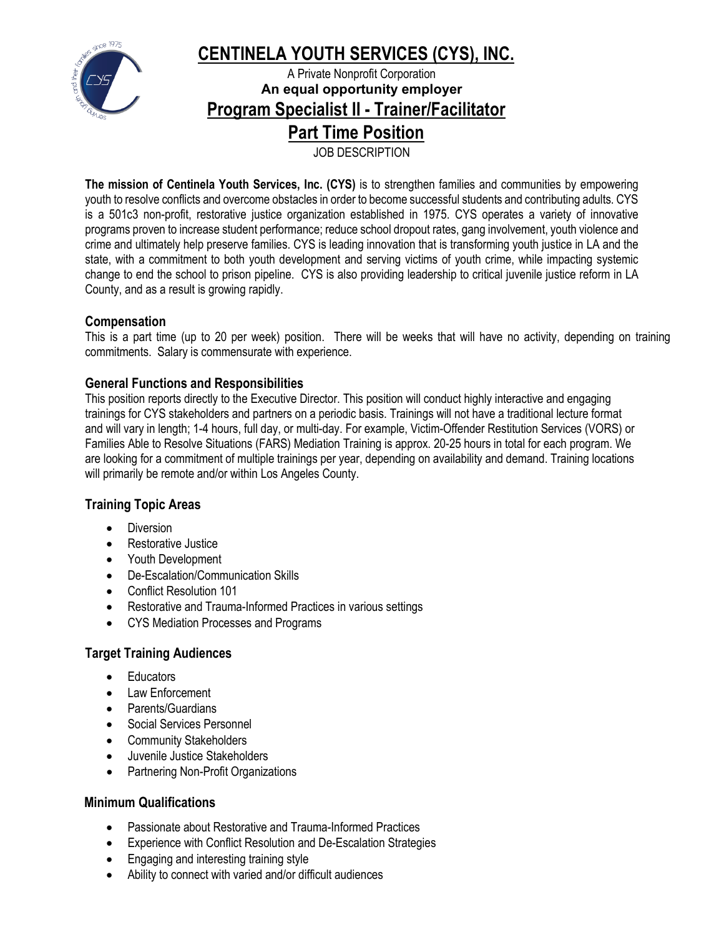

# **CENTINELA YOUTH SERVICES (CYS), INC.**

A Private Nonprofit Corporation **An equal opportunity employer Program Specialist II - Trainer/Facilitator** 

**Part Time Position**

JOB DESCRIPTION

**The mission of Centinela Youth Services, Inc. (CYS)** is to strengthen families and communities by empowering youth to resolve conflicts and overcome obstacles in order to become successful students and contributing adults. CYS is a 501c3 non-profit, restorative justice organization established in 1975. CYS operates a variety of innovative programs proven to increase student performance; reduce school dropout rates, gang involvement, youth violence and crime and ultimately help preserve families. CYS is leading innovation that is transforming youth justice in LA and the state, with a commitment to both youth development and serving victims of youth crime, while impacting systemic change to end the school to prison pipeline. CYS is also providing leadership to critical juvenile justice reform in LA County, and as a result is growing rapidly.

# **Compensation**

This is a part time (up to 20 per week) position. There will be weeks that will have no activity, depending on training commitments. Salary is commensurate with experience.

# **General Functions and Responsibilities**

This position reports directly to the Executive Director. This position will conduct highly interactive and engaging trainings for CYS stakeholders and partners on a periodic basis. Trainings will not have a traditional lecture format and will vary in length; 1-4 hours, full day, or multi-day. For example, Victim-Offender Restitution Services (VORS) or Families Able to Resolve Situations (FARS) Mediation Training is approx. 20-25 hours in total for each program. We are looking for a commitment of multiple trainings per year, depending on availability and demand. Training locations will primarily be remote and/or within Los Angeles County.

# **Training Topic Areas**

- Diversion
- Restorative Justice
- Youth Development
- De-Escalation/Communication Skills
- Conflict Resolution 101
- Restorative and Trauma-Informed Practices in various settings
- CYS Mediation Processes and Programs

# **Target Training Audiences**

- **Educators**
- Law Enforcement
- Parents/Guardians
- Social Services Personnel
- Community Stakeholders
- Juvenile Justice Stakeholders
- Partnering Non-Profit Organizations

#### **Minimum Qualifications**

- Passionate about Restorative and Trauma-Informed Practices
- Experience with Conflict Resolution and De-Escalation Strategies
- Engaging and interesting training style
- Ability to connect with varied and/or difficult audiences